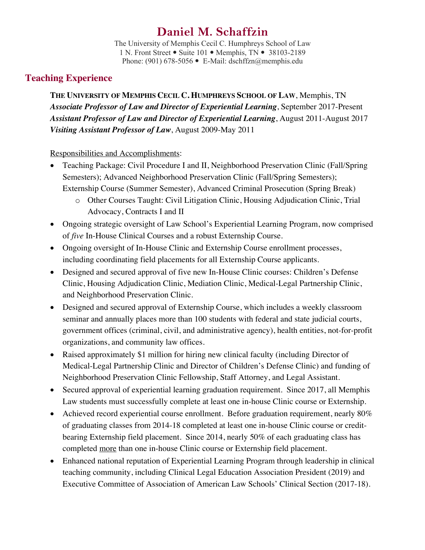# **Daniel M. Schaffzin**

The University of Memphis Cecil C. Humphreys School of Law 1 N. Front Street • Suite 101 • Memphis, TN • 38103-2189 Phone: (901) 678-5056 • E-Mail: dschffzn@memphis.edu

# **Teaching Experience**

**THE UNIVERSITY OF MEMPHIS CECIL C. HUMPHREYS SCHOOL OF LAW**, Memphis, TN *Associate Professor of Law and Director of Experiential Learning*, September 2017-Present *Assistant Professor of Law and Director of Experiential Learning*, August 2011-August 2017 *Visiting Assistant Professor of Law*, August 2009-May 2011

### Responsibilities and Accomplishments:

- Teaching Package: Civil Procedure I and II, Neighborhood Preservation Clinic (Fall/Spring Semesters); Advanced Neighborhood Preservation Clinic (Fall/Spring Semesters); Externship Course (Summer Semester), Advanced Criminal Prosecution (Spring Break)
	- o Other Courses Taught: Civil Litigation Clinic, Housing Adjudication Clinic, Trial Advocacy, Contracts I and II
- Ongoing strategic oversight of Law School's Experiential Learning Program, now comprised of *five* In-House Clinical Courses and a robust Externship Course.
- Ongoing oversight of In-House Clinic and Externship Course enrollment processes, including coordinating field placements for all Externship Course applicants.
- Designed and secured approval of five new In-House Clinic courses: Children's Defense Clinic, Housing Adjudication Clinic, Mediation Clinic, Medical-Legal Partnership Clinic, and Neighborhood Preservation Clinic.
- Designed and secured approval of Externship Course, which includes a weekly classroom seminar and annually places more than 100 students with federal and state judicial courts, government offices (criminal, civil, and administrative agency), health entities, not-for-profit organizations, and community law offices.
- Raised approximately \$1 million for hiring new clinical faculty (including Director of Medical-Legal Partnership Clinic and Director of Children's Defense Clinic) and funding of Neighborhood Preservation Clinic Fellowship, Staff Attorney, and Legal Assistant.
- Secured approval of experiential learning graduation requirement. Since 2017, all Memphis Law students must successfully complete at least one in-house Clinic course or Externship.
- Achieved record experiential course enrollment. Before graduation requirement, nearly 80% of graduating classes from 2014-18 completed at least one in-house Clinic course or creditbearing Externship field placement. Since 2014, nearly 50% of each graduating class has completed more than one in-house Clinic course or Externship field placement.
- Enhanced national reputation of Experiential Learning Program through leadership in clinical teaching community, including Clinical Legal Education Association President (2019) and Executive Committee of Association of American Law Schools' Clinical Section (2017-18).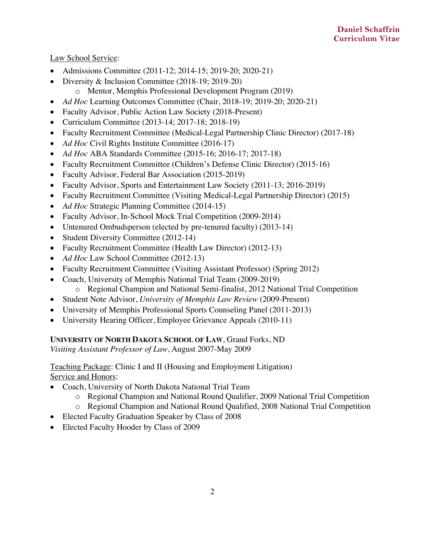Law School Service:

- Admissions Committee (2011-12; 2014-15; 2019-20; 2020-21)
- Diversity & Inclusion Committee (2018-19: 2019-20)
	- o Mentor, Memphis Professional Development Program (2019)
- *Ad Hoc* Learning Outcomes Committee (Chair, 2018-19; 2019-20; 2020-21)
- Faculty Advisor, Public Action Law Society (2018-Present)
- Curriculum Committee (2013-14; 2017-18; 2018-19)
- Faculty Recruitment Committee (Medical-Legal Partnership Clinic Director) (2017-18)
- *Ad Hoc* Civil Rights Institute Committee (2016-17)
- *Ad Hoc* ABA Standards Committee (2015-16; 2016-17; 2017-18)
- Faculty Recruitment Committee (Children's Defense Clinic Director) (2015-16)
- Faculty Advisor, Federal Bar Association (2015-2019)
- Faculty Advisor, Sports and Entertainment Law Society (2011-13; 2016-2019)
- Faculty Recruitment Committee (Visiting Medical-Legal Partnership Director) (2015)
- *Ad Hoc* Strategic Planning Committee (2014-15)
- Faculty Advisor, In-School Mock Trial Competition (2009-2014)
- Untenured Ombudsperson (elected by pre-tenured faculty) (2013-14)
- Student Diversity Committee (2012-14)
- Faculty Recruitment Committee (Health Law Director) (2012-13)
- *Ad Hoc* Law School Committee (2012-13)
- Faculty Recruitment Committee (Visiting Assistant Professor) (Spring 2012)
- Coach, University of Memphis National Trial Team (2009-2019)
	- o Regional Champion and National Semi-finalist, 2012 National Trial Competition
- Student Note Advisor, *University of Memphis Law Review* (2009-Present)
- University of Memphis Professional Sports Counseling Panel (2011-2013)
- University Hearing Officer, Employee Grievance Appeals (2010-11)

### **UNIVERSITY OF NORTH DAKOTA SCHOOL OF LAW**, Grand Forks, ND

*Visiting Assistant Professor of Law*, August 2007-May 2009

Teaching Package: Clinic I and II (Housing and Employment Litigation) Service and Honors:

- Coach, University of North Dakota National Trial Team
	- o Regional Champion and National Round Qualifier, 2009 National Trial Competition
	- o Regional Champion and National Round Qualified, 2008 National Trial Competition
- Elected Faculty Graduation Speaker by Class of 2008
- Elected Faculty Hooder by Class of 2009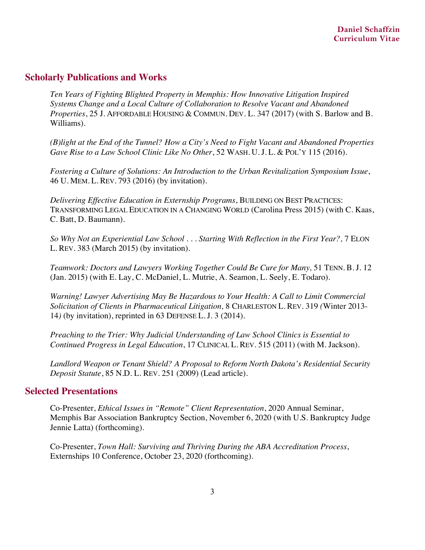### **Scholarly Publications and Works**

*Ten Years of Fighting Blighted Property in Memphis: How Innovative Litigation Inspired Systems Change and a Local Culture of Collaboration to Resolve Vacant and Abandoned Properties*, 25 J. AFFORDABLE HOUSING & COMMUN. DEV. L. 347 (2017) (with S. Barlow and B. Williams).

*(B)light at the End of the Tunnel? How a City's Need to Fight Vacant and Abandoned Properties Gave Rise to a Law School Clinic Like No Other*, 52 WASH. U. J. L. & POL'Y 115 (2016).

*Fostering a Culture of Solutions: An Introduction to the Urban Revitalization Symposium Issue*, 46 U. MEM. L. REV. 793 (2016) (by invitation).

*Delivering Effective Education in Externship Programs*, BUILDING ON BEST PRACTICES: TRANSFORMING LEGAL EDUCATION IN A CHANGING WORLD (Carolina Press 2015) (with C. Kaas, C. Batt, D. Baumann).

*So Why Not an Experiential Law School . . . Starting With Reflection in the First Year?,* 7 ELON L. REV. 383 (March 2015) (by invitation)*.*

*Teamwork: Doctors and Lawyers Working Together Could Be Cure for Many, 51 TENN. B.J. 12* (Jan. 2015) (with E. Lay, C. McDaniel, L. Mutrie, A. Seamon, L. Seely, E. Todaro)*.*

*Warning! Lawyer Advertising May Be Hazardous to Your Health: A Call to Limit Commercial Solicitation of Clients in Pharmaceutical Litigation,* 8 CHARLESTON L. REV. 319 *(*Winter 2013- 14*)* (by invitation), reprinted in 63 DEFENSE L. J. 3 (2014).

*Preaching to the Trier: Why Judicial Understanding of Law School Clinics is Essential to Continued Progress in Legal Education*, 17 CLINICAL L. REV. 515 (2011) (with M. Jackson).

*Landlord Weapon or Tenant Shield? A Proposal to Reform North Dakota's Residential Security Deposit Statute*, 85 N.D. L. REV. 251 (2009) (Lead article).

### **Selected Presentations**

Co-Presenter, *Ethical Issues in "Remote" Client Representation*, 2020 Annual Seminar, Memphis Bar Association Bankruptcy Section, November 6, 2020 (with U.S. Bankruptcy Judge Jennie Latta) (forthcoming).

Co-Presenter, *Town Hall: Surviving and Thriving During the ABA Accreditation Process*, Externships 10 Conference, October 23, 2020 (forthcoming).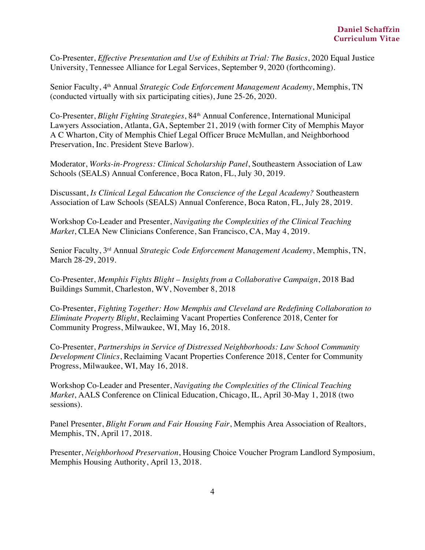Co-Presenter, *Effective Presentation and Use of Exhibits at Trial: The Basics*, 2020 Equal Justice University, Tennessee Alliance for Legal Services, September 9, 2020 (forthcoming).

Senior Faculty, 4th Annual *Strategic Code Enforcement Management Academy*, Memphis, TN (conducted virtually with six participating cities), June 25-26, 2020.

Co-Presenter, *Blight Fighting Strategies*, 84th Annual Conference, International Municipal Lawyers Association, Atlanta, GA, September 21, 2019 (with former City of Memphis Mayor A C Wharton, City of Memphis Chief Legal Officer Bruce McMullan, and Neighborhood Preservation, Inc. President Steve Barlow).

Moderator, *Works-in-Progress: Clinical Scholarship Panel*, Southeastern Association of Law Schools (SEALS) Annual Conference, Boca Raton, FL, July 30, 2019.

Discussant, *Is Clinical Legal Education the Conscience of the Legal Academy?* Southeastern Association of Law Schools (SEALS) Annual Conference, Boca Raton, FL, July 28, 2019.

Workshop Co-Leader and Presenter, *Navigating the Complexities of the Clinical Teaching Market*, CLEA New Clinicians Conference, San Francisco, CA, May 4, 2019.

Senior Faculty, 3rd Annual *Strategic Code Enforcement Management Academy*, Memphis, TN, March 28-29, 2019.

Co-Presenter, *Memphis Fights Blight – Insights from a Collaborative Campaign*, 2018 Bad Buildings Summit, Charleston, WV, November 8, 2018

Co-Presenter, *Fighting Together: How Memphis and Cleveland are Redefining Collaboration to Eliminate Property Blight*, Reclaiming Vacant Properties Conference 2018, Center for Community Progress, Milwaukee, WI, May 16, 2018.

Co-Presenter, *Partnerships in Service of Distressed Neighborhoods: Law School Community Development Clinics*, Reclaiming Vacant Properties Conference 2018, Center for Community Progress, Milwaukee, WI, May 16, 2018.

Workshop Co-Leader and Presenter, *Navigating the Complexities of the Clinical Teaching Market*, AALS Conference on Clinical Education, Chicago, IL, April 30-May 1, 2018 (two sessions).

Panel Presenter, *Blight Forum and Fair Housing Fair*, Memphis Area Association of Realtors, Memphis, TN, April 17, 2018.

Presenter, *Neighborhood Preservation*, Housing Choice Voucher Program Landlord Symposium, Memphis Housing Authority, April 13, 2018.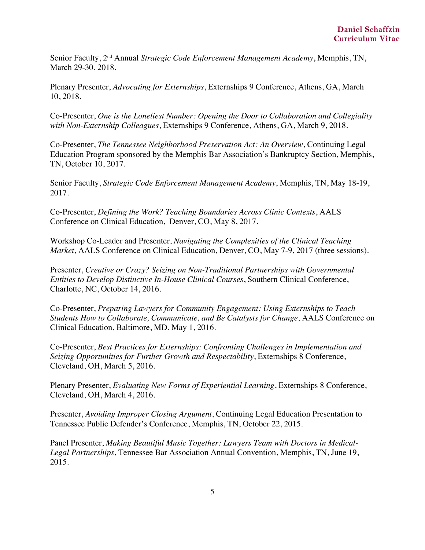Senior Faculty, 2nd Annual *Strategic Code Enforcement Management Academy*, Memphis, TN, March 29-30, 2018.

Plenary Presenter, *Advocating for Externships*, Externships 9 Conference, Athens, GA, March 10, 2018.

Co-Presenter, *One is the Loneliest Number: Opening the Door to Collaboration and Collegiality with Non-Externship Colleagues*, Externships 9 Conference, Athens, GA, March 9, 2018.

Co-Presenter, *The Tennessee Neighborhood Preservation Act: An Overview*, Continuing Legal Education Program sponsored by the Memphis Bar Association's Bankruptcy Section, Memphis, TN, October 10, 2017.

Senior Faculty, *Strategic Code Enforcement Management Academy*, Memphis, TN, May 18-19, 2017.

Co-Presenter, *Defining the Work? Teaching Boundaries Across Clinic Contexts*, AALS Conference on Clinical Education, Denver, CO, May 8, 2017.

Workshop Co-Leader and Presenter, *Navigating the Complexities of the Clinical Teaching Market*, AALS Conference on Clinical Education, Denver, CO, May 7-9, 2017 (three sessions).

Presenter, *Creative or Crazy? Seizing on Non-Traditional Partnerships with Governmental Entities to Develop Distinctive In-House Clinical Courses*, Southern Clinical Conference, Charlotte, NC, October 14, 2016.

Co-Presenter, *Preparing Lawyers for Community Engagement: Using Externships to Teach Students How to Collaborate, Communicate, and Be Catalysts for Change*, AALS Conference on Clinical Education, Baltimore, MD, May 1, 2016.

Co-Presenter, *Best Practices for Externships: Confronting Challenges in Implementation and Seizing Opportunities for Further Growth and Respectability*, Externships 8 Conference, Cleveland, OH, March 5, 2016.

Plenary Presenter, *Evaluating New Forms of Experiential Learning*, Externships 8 Conference, Cleveland, OH, March 4, 2016.

Presenter, *Avoiding Improper Closing Argument*, Continuing Legal Education Presentation to Tennessee Public Defender's Conference, Memphis, TN, October 22, 2015.

Panel Presenter, *Making Beautiful Music Together: Lawyers Team with Doctors in Medical-Legal Partnerships*, Tennessee Bar Association Annual Convention, Memphis, TN, June 19, 2015.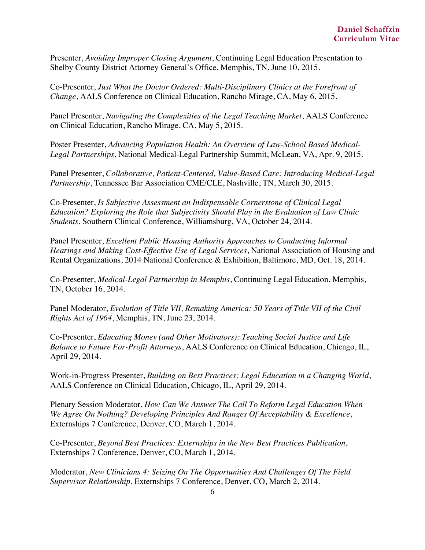Presenter, *Avoiding Improper Closing Argument*, Continuing Legal Education Presentation to Shelby County District Attorney General's Office, Memphis, TN, June 10, 2015.

Co-Presenter, *Just What the Doctor Ordered: Multi-Disciplinary Clinics at the Forefront of Change*, AALS Conference on Clinical Education, Rancho Mirage, CA, May 6, 2015.

Panel Presenter, *Navigating the Complexities of the Legal Teaching Market*, AALS Conference on Clinical Education, Rancho Mirage, CA, May 5, 2015.

Poster Presenter, *Advancing Population Health: An Overview of Law-School Based Medical-Legal Partnerships*, National Medical-Legal Partnership Summit, McLean, VA, Apr. 9, 2015.

Panel Presenter, *Collaborative, Patient-Centered, Value-Based Care: Introducing Medical-Legal Partnership*, Tennessee Bar Association CME/CLE, Nashville, TN, March 30, 2015.

Co-Presenter, *Is Subjective Assessment an Indispensable Cornerstone of Clinical Legal Education? Exploring the Role that Subjectivity Should Play in the Evaluation of Law Clinic Students*, Southern Clinical Conference, Williamsburg, VA, October 24, 2014.

Panel Presenter, *Excellent Public Housing Authority Approaches to Conducting Informal Hearings and Making Cost-Effective Use of Legal Services*, National Association of Housing and Rental Organizations, 2014 National Conference & Exhibition, Baltimore, MD, Oct. 18, 2014.

Co-Presenter, *Medical-Legal Partnership in Memphis*, Continuing Legal Education, Memphis, TN, October 16, 2014.

Panel Moderator, *Evolution of Title VII, Remaking America: 50 Years of Title VII of the Civil Rights Act of 1964*, Memphis, TN, June 23, 2014.

Co-Presenter, *Educating Money (and Other Motivators): Teaching Social Justice and Life Balance to Future For-Profit Attorneys*, AALS Conference on Clinical Education, Chicago, IL, April 29, 2014.

Work-in-Progress Presenter, *Building on Best Practices: Legal Education in a Changing World*, AALS Conference on Clinical Education, Chicago, IL, April 29, 2014.

Plenary Session Moderator, *How Can We Answer The Call To Reform Legal Education When We Agree On Nothing? Developing Principles And Ranges Of Acceptability & Excellence*, Externships 7 Conference, Denver, CO, March 1, 2014.

Co-Presenter, *Beyond Best Practices: Externships in the New Best Practices Publication*, Externships 7 Conference, Denver, CO, March 1, 2014.

Moderator, *New Clinicians 4: Seizing On The Opportunities And Challenges Of The Field Supervisor Relationship*, Externships 7 Conference, Denver, CO, March 2, 2014.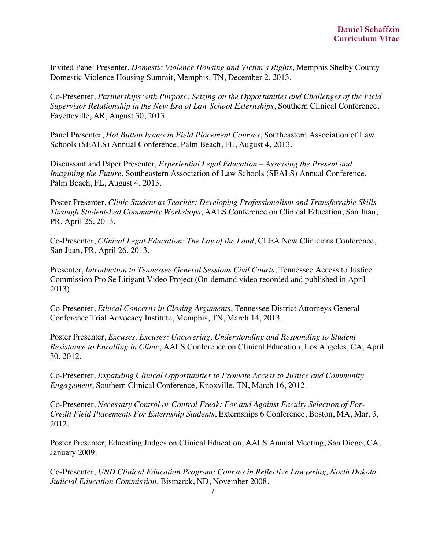Invited Panel Presenter, *Domestic Violence Housing and Victim's Rights*, Memphis Shelby County Domestic Violence Housing Summit, Memphis, TN, December 2, 2013.

Co-Presenter, *Partnerships with Purpose: Seizing on the Opportunities and Challenges of the Field Supervisor Relationship in the New Era of Law School Externships*, Southern Clinical Conference, Fayetteville, AR, August 30, 2013.

Panel Presenter, *Hot Button Issues in Field Placement Courses*, Southeastern Association of Law Schools (SEALS) Annual Conference, Palm Beach, FL, August 4, 2013.

Discussant and Paper Presenter, *Experiential Legal Education – Assessing the Present and Imagining the Future*, Southeastern Association of Law Schools (SEALS) Annual Conference, Palm Beach, FL, August 4, 2013.

Poster Presenter, *Clinic Student as Teacher: Developing Professionalism and Transferrable Skills Through Student-Led Community Workshops*, AALS Conference on Clinical Education, San Juan, PR, April 26, 2013.

Co-Presenter, *Clinical Legal Education: The Lay of the Land*, CLEA New Clinicians Conference, San Juan, PR, April 26, 2013.

Presenter, *Introduction to Tennessee General Sessions Civil Courts*, Tennessee Access to Justice Commission Pro Se Litigant Video Project (On-demand video recorded and published in April 2013).

Co-Presenter, *Ethical Concerns in Closing Arguments*, Tennessee District Attorneys General Conference Trial Advocacy Institute, Memphis, TN, March 14, 2013.

Poster Presenter, *Excuses, Excuses: Uncovering, Understanding and Responding to Student Resistance to Enrolling in Clinic*, AALS Conference on Clinical Education, Los Angeles, CA, April 30, 2012.

Co-Presenter, *Expanding Clinical Opportunities to Promote Access to Justice and Community Engagement*, Southern Clinical Conference, Knoxville, TN, March 16, 2012.

Co-Presenter, *Necessary Control or Control Freak: For and Against Faculty Selection of For-Credit Field Placements For Externship Students*, Externships 6 Conference, Boston, MA, Mar. 3, 2012.

Poster Presenter, Educating Judges on Clinical Education, AALS Annual Meeting, San Diego, CA, January 2009.

Co-Presenter, *UND Clinical Education Program: Courses in Reflective Lawyering, North Dakota Judicial Education Commission*, Bismarck, ND, November 2008.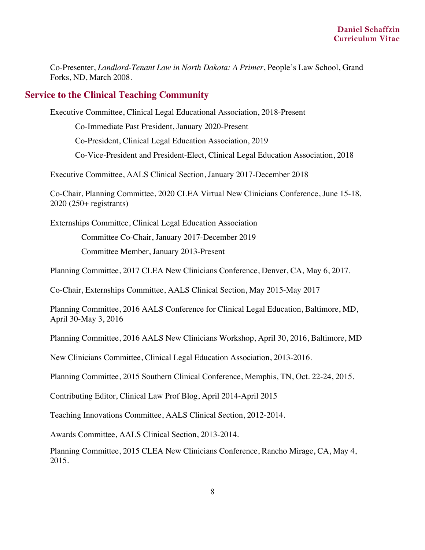Co-Presenter, *Landlord-Tenant Law in North Dakota: A Primer*, People's Law School, Grand Forks, ND, March 2008.

### **Service to the Clinical Teaching Community**

Executive Committee, Clinical Legal Educational Association, 2018-Present

Co-Immediate Past President, January 2020-Present

Co-President, Clinical Legal Education Association, 2019

Co-Vice-President and President-Elect, Clinical Legal Education Association, 2018

Executive Committee, AALS Clinical Section, January 2017-December 2018

Co-Chair, Planning Committee, 2020 CLEA Virtual New Clinicians Conference, June 15-18, 2020 (250+ registrants)

Externships Committee, Clinical Legal Education Association

Committee Co-Chair, January 2017-December 2019

Committee Member, January 2013-Present

Planning Committee, 2017 CLEA New Clinicians Conference, Denver, CA, May 6, 2017.

Co-Chair, Externships Committee, AALS Clinical Section, May 2015-May 2017

Planning Committee, 2016 AALS Conference for Clinical Legal Education, Baltimore, MD, April 30-May 3, 2016

Planning Committee, 2016 AALS New Clinicians Workshop, April 30, 2016, Baltimore, MD

New Clinicians Committee, Clinical Legal Education Association, 2013-2016.

Planning Committee, 2015 Southern Clinical Conference, Memphis, TN, Oct. 22-24, 2015.

Contributing Editor, Clinical Law Prof Blog, April 2014-April 2015

Teaching Innovations Committee, AALS Clinical Section, 2012-2014.

Awards Committee, AALS Clinical Section, 2013-2014.

Planning Committee, 2015 CLEA New Clinicians Conference, Rancho Mirage, CA, May 4, 2015.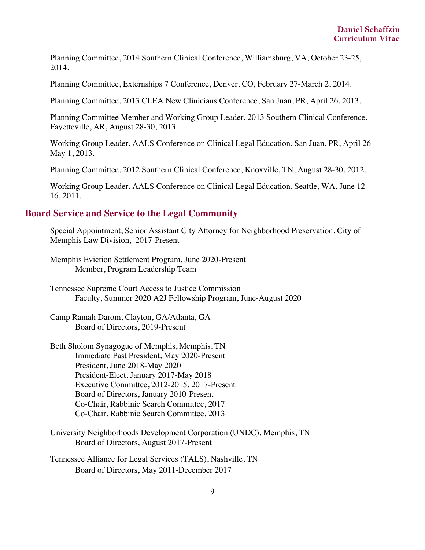Planning Committee, 2014 Southern Clinical Conference, Williamsburg, VA, October 23-25, 2014.

Planning Committee, Externships 7 Conference, Denver, CO, February 27-March 2, 2014.

Planning Committee, 2013 CLEA New Clinicians Conference, San Juan, PR, April 26, 2013.

Planning Committee Member and Working Group Leader, 2013 Southern Clinical Conference, Fayetteville, AR, August 28-30, 2013.

Working Group Leader, AALS Conference on Clinical Legal Education, San Juan, PR, April 26- May 1, 2013.

Planning Committee, 2012 Southern Clinical Conference, Knoxville, TN, August 28-30, 2012.

Working Group Leader, AALS Conference on Clinical Legal Education, Seattle, WA, June 12- 16, 2011.

#### **Board Service and Service to the Legal Community**

Special Appointment, Senior Assistant City Attorney for Neighborhood Preservation, City of Memphis Law Division, 2017-Present

Memphis Eviction Settlement Program, June 2020-Present Member, Program Leadership Team

Tennessee Supreme Court Access to Justice Commission Faculty, Summer 2020 A2J Fellowship Program, June-August 2020

Camp Ramah Darom, Clayton, GA/Atlanta, GA Board of Directors, 2019-Present

Beth Sholom Synagogue of Memphis, Memphis, TN Immediate Past President, May 2020-Present President, June 2018-May 2020 President-Elect, January 2017-May 2018 Executive Committee**,** 2012-2015, 2017-Present Board of Directors, January 2010-Present Co-Chair, Rabbinic Search Committee, 2017 Co-Chair, Rabbinic Search Committee, 2013

University Neighborhoods Development Corporation (UNDC), Memphis, TN Board of Directors, August 2017-Present

Tennessee Alliance for Legal Services (TALS), Nashville, TN Board of Directors, May 2011-December 2017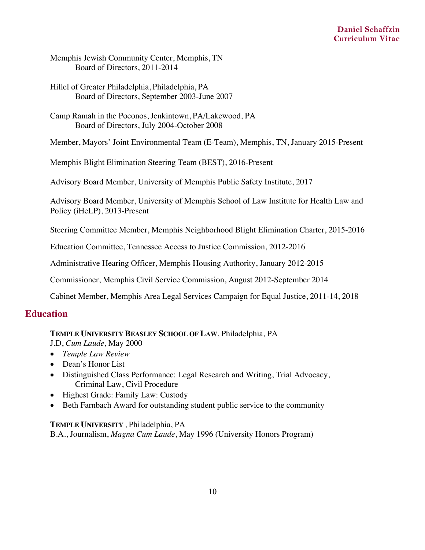Memphis Jewish Community Center, Memphis, TN Board of Directors, 2011-2014

- Hillel of Greater Philadelphia, Philadelphia, PA Board of Directors, September 2003-June 2007
- Camp Ramah in the Poconos, Jenkintown, PA/Lakewood, PA Board of Directors, July 2004-October 2008

Member, Mayors' Joint Environmental Team (E-Team), Memphis, TN, January 2015-Present

Memphis Blight Elimination Steering Team (BEST), 2016-Present

Advisory Board Member, University of Memphis Public Safety Institute, 2017

Advisory Board Member, University of Memphis School of Law Institute for Health Law and Policy (iHeLP), 2013-Present

Steering Committee Member, Memphis Neighborhood Blight Elimination Charter, 2015-2016

Education Committee, Tennessee Access to Justice Commission, 2012-2016

Administrative Hearing Officer, Memphis Housing Authority, January 2012-2015

Commissioner, Memphis Civil Service Commission, August 2012-September 2014

Cabinet Member, Memphis Area Legal Services Campaign for Equal Justice, 2011-14, 2018

### **Education**

#### **TEMPLE UNIVERSITY BEASLEY SCHOOL OF LAW**, Philadelphia, PA

J.D, *Cum Laude*, May 2000

- *Temple Law Review*
- Dean's Honor List
- Distinguished Class Performance: Legal Research and Writing, Trial Advocacy, Criminal Law, Civil Procedure
- Highest Grade: Family Law: Custody
- Beth Farnbach Award for outstanding student public service to the community

#### **TEMPLE UNIVERSITY** *,* Philadelphia, PA

B.A., Journalism, *Magna Cum Laude*, May 1996 (University Honors Program)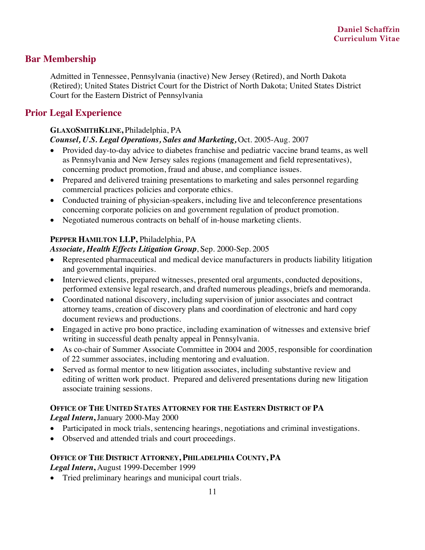# **Bar Membership**

Admitted in Tennessee, Pennsylvania (inactive) New Jersey (Retired), and North Dakota (Retired); United States District Court for the District of North Dakota; United States District Court for the Eastern District of Pennsylvania

### **Prior Legal Experience**

# **GLAXOSMITHKLINE,** Philadelphia, PA

### *Counsel, U.S. Legal Operations, Sales and Marketing,* Oct. 2005-Aug. 2007

- Provided day-to-day advice to diabetes franchise and pediatric vaccine brand teams, as well as Pennsylvania and New Jersey sales regions (management and field representatives), concerning product promotion, fraud and abuse, and compliance issues.
- Prepared and delivered training presentations to marketing and sales personnel regarding commercial practices policies and corporate ethics.
- Conducted training of physician-speakers, including live and teleconference presentations concerning corporate policies on and government regulation of product promotion.
- Negotiated numerous contracts on behalf of in-house marketing clients.

### **PEPPER HAMILTON LLP,** Philadelphia, PA

#### *Associate, Health Effects Litigation Group*, Sep. 2000-Sep. 2005

- Represented pharmaceutical and medical device manufacturers in products liability litigation and governmental inquiries.
- Interviewed clients, prepared witnesses, presented oral arguments, conducted depositions, performed extensive legal research, and drafted numerous pleadings, briefs and memoranda.
- Coordinated national discovery, including supervision of junior associates and contract attorney teams, creation of discovery plans and coordination of electronic and hard copy document reviews and productions.
- Engaged in active pro bono practice, including examination of witnesses and extensive brief writing in successful death penalty appeal in Pennsylvania.
- As co-chair of Summer Associate Committee in 2004 and 2005, responsible for coordination of 22 summer associates, including mentoring and evaluation.
- Served as formal mentor to new litigation associates, including substantive review and editing of written work product. Prepared and delivered presentations during new litigation associate training sessions.

# **OFFICE OF THE UNITED STATES ATTORNEY FOR THE EASTERN DISTRICT OF PA**

*Legal Intern***,** January 2000-May 2000

- Participated in mock trials, sentencing hearings, negotiations and criminal investigations.
- Observed and attended trials and court proceedings.

### **OFFICE OF THE DISTRICT ATTORNEY, PHILADELPHIA COUNTY, PA**

*Legal Intern***,** August 1999-December 1999

• Tried preliminary hearings and municipal court trials.